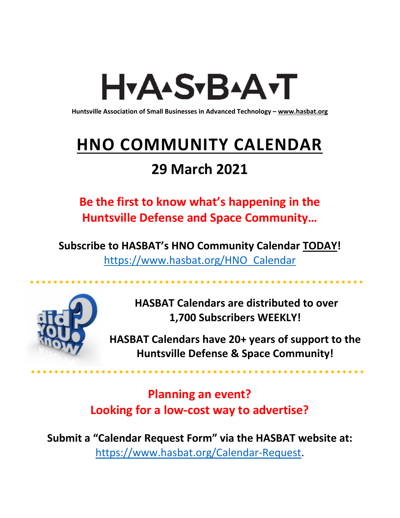# H<sub>Y</sub>AASTBAATT

**Huntsville Association of Small Businesses in Advanced Technology – [www.hasbat.org](http://www.hasbat.org/)**

# **HNO COMMUNITY CALENDAR**

# **29 March 2021**

**Be the first to know what's happening in the Huntsville Defense and Space Community…** 

**Subscribe to HASBAT's HNO Community Calendar TODAY!**  [https://www.hasbat.org/HNO\\_Calendar](https://www.hasbat.org/HNO_Calendar)



**HASBAT Calendars are distributed to over 1,700 Subscribers WEEKLY!**

**HASBAT Calendars have 20+ years of support to the Huntsville Defense & Space Community!** 

**Planning an event? Looking for a low-cost way to advertise?**

**Submit a "Calendar Request Form" via the HASBAT website at:**  [https://www.hasbat.org/Calendar-Request.](https://www.hasbat.org/Calendar-Request)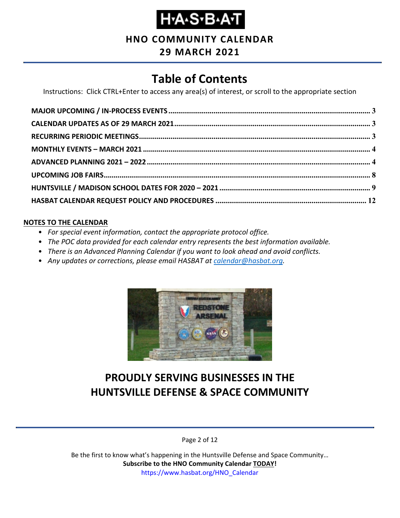**HNO COMMUNITY CALENDAR**

### **29 MARCH 2021**

# **Table of Contents**

Instructions: Click CTRL+Enter to access any area(s) of interest, or scroll to the appropriate section

#### **NOTES TO THE CALENDAR**

- *For special event information, contact the appropriate protocol office.*
- *The POC data provided for each calendar entry represents the best information available.*
- *There is an Advanced Planning Calendar if you want to look ahead and avoid conflicts.*
- *Any updates or corrections, please email HASBAT at [calendar@hasbat.org.](mailto:calendar@hasbat.org)*



## **PROUDLY SERVING BUSINESSES IN THE HUNTSVILLE DEFENSE & SPACE COMMUNITY**

Page 2 of 12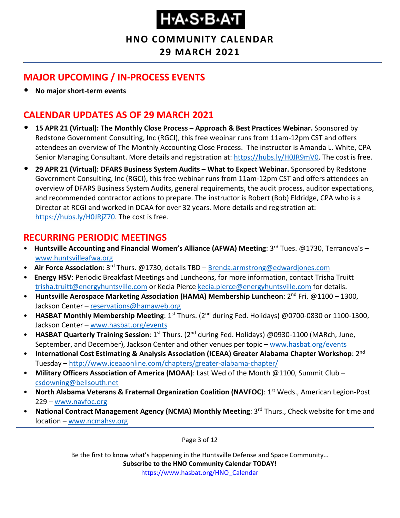**HNO COMMUNITY CALENDAR**

**29 MARCH 2021**

### <span id="page-2-0"></span>**MAJOR UPCOMING / IN-PROCESS EVENTS**

• **No major short-term events**

### <span id="page-2-1"></span>**CALENDAR UPDATES AS OF 29 MARCH 2021**

- **15 APR 21 (Virtual): The Monthly Close Process – Approach & Best Practices Webinar.** Sponsored by Redstone Government Consulting, Inc (RGCI), this free webinar runs from 11am-12pm CST and offers attendees an overview of The Monthly Accounting Close Process. The instructor is Amanda L. White, CPA Senior Managing Consultant. More details and registration at: [https://hubs.ly/H0JR9mV0.](https://hubs.ly/H0JR9mV0) The cost is free.
- **29 APR 21 (Virtual): DFARS Business System Audits – What to Expect Webinar.** Sponsored by Redstone Government Consulting, Inc (RGCI), this free webinar runs from 11am-12pm CST and offers attendees an overview of DFARS Business System Audits, general requirements, the audit process, auditor expectations, and recommended contractor actions to prepare. The instructor is Robert (Bob) Eldridge, CPA who is a Director at RCGI and worked in DCAA for over 32 years. More details and registration at: [https://hubs.ly/H0JRjZ70.](https://hubs.ly/H0JRjZ70) The cost is free.

### <span id="page-2-2"></span>**RECURRING PERIODIC MEETINGS**

- **Huntsville Accounting and Financial Women's Alliance (AFWA) Meeting**: 3rd Tues. @1730, Terranova's [www.huntsvilleafwa.org](http://www.huntsvilleafwa.org/)
- **Air Force Association**: 3rd Thurs. @1730, details TBD [Brenda.armstrong@edwardjones.com](mailto:Brenda.armstrong@edwardjones.com)
- **Energy HSV**: Periodic Breakfast Meetings and Luncheons, for more information, contact Trisha Truitt [trisha.truitt@energyhuntsville.com](mailto:trisha.truitt@energyhuntsville.com) or Kecia Pierce [kecia.pierce@energyhuntsville.com](mailto:kecia.pierce@energyhuntsville.com) for details.
- **Huntsville Aerospace Marketing Association (HAMA) Membership Luncheon**: 2nd Fri. @1100 1300, Jackson Center – [reservations@hamaweb.org](mailto:reservations@hamaweb.org)
- **HASBAT Monthly Membership Meeting**: 1<sup>st</sup> Thurs. (2<sup>nd</sup> during Fed. Holidays) @0700-0830 or 1100-1300, Jackson Center – [www.hasbat.org/events](http://www.hasbat.org/events)
- **HASBAT Quarterly Training Session**: 1<sup>st</sup> Thurs. (2<sup>nd</sup> during Fed. Holidays) @0930-1100 (MARch, June, September, and December), Jackson Center and other venues per topic – [www.hasbat.org/events](http://www.hasbat.org/events)
- **International Cost Estimating & Analysis Association (ICEAA) Greater Alabama Chapter Workshop**: 2nd Tuesday – <http://www.iceaaonline.com/chapters/greater-alabama-chapter/>
- **Military Officers Association of America (MOAA)**: Last Wed of the Month @1100, Summit Club [csdowning@bellsouth.net](mailto:csdowning@bellsouth.net)
- **North Alabama Veterans & Fraternal Organization Coalition (NAVFOC): 1<sup>st</sup> Weds., American Legion-Post** 229 – [www.navfoc.org](http://www.navfoc.org/)
- **National Contract Management Agency (NCMA) Monthly Meeting**: 3rd Thurs., Check website for time and location – [www.ncmahsv.org](http://www.ncmahsv.org/)

Page 3 of 12

Be the first to know what's happening in the Huntsville Defense and Space Community…

**Subscribe to the HNO Community Calendar TODAY!** 

https://www.hasbat.org/HNO\_Calendar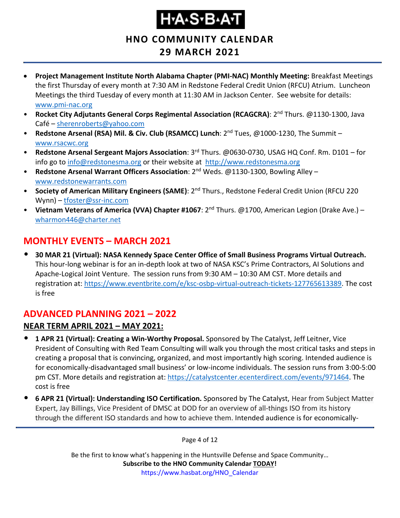**HNO COMMUNITY CALENDAR**

### **29 MARCH 2021**

- **Project Management Institute North Alabama Chapter (PMI-NAC) Monthly Meeting:** Breakfast Meetings the first Thursday of every month at 7:30 AM in Redstone Federal Credit Union (RFCU) Atrium. Luncheon Meetings the third Tuesday of every month at 11:30 AM in Jackson Center. See website for details: [www.pmi-nac.org](http://www.pmi-nac.org/)
- **Rocket City Adjutants General Corps Regimental Association (RCAGCRA)**: 2nd Thurs. @1130-1300, Java Café – [sherenroberts@yahoo.com](mailto:sherenroberts@yahoo.com)
- **Redstone Arsenal (RSA) Mil. & Civ. Club (RSAMCC) Lunch**: 2nd Tues, @1000-1230, The Summit [www.rsacwc.org](http://www.rsacwc.org/)
- **Redstone Arsenal Sergeant Majors Association**: 3rd Thurs. @0630-0730, USAG HQ Conf. Rm. D101 for info go to [info@redstonesma.org](mailto:info@redstonesma.org) or their website at [http://www.redstonesma.org](http://www.redstonesma.org/)
- **Redstone Arsenal Warrant Officers Association**: 2nd Weds. @1130-1300, Bowling Alley [www.redstonewarrants.com](http://www.redstonewarrants.com/)
- **Society of American Military Engineers (SAME)**: 2nd Thurs., Redstone Federal Credit Union (RFCU 220 Wynn) – [tfoster@ssr-inc.com](mailto:tfoster@ssr-inc.com)
- **Vietnam Veterans of America (VVA) Chapter #1067**: 2nd Thurs. @1700, American Legion (Drake Ave.) [wharmon446@charter.net](mailto:wharmon446@charter.net)

### <span id="page-3-0"></span>**MONTHLY EVENTS – MARCH 2021**

• **30 MAR 21 (Virtual): NASA Kennedy Space Center Office of Small Business Programs Virtual Outreach.**  This hour-long webinar is for an in-depth look at two of NASA KSC's Prime Contractors, AI Solutions and Apache-Logical Joint Venture. The session runs from 9:30 AM – 10:30 AM CST. More details and registration at: [https://www.eventbrite.com/e/ksc-osbp-virtual-outreach-tickets-127765613389.](https://www.eventbrite.com/e/ksc-osbp-virtual-outreach-tickets-127765613389) The cost is free

# <span id="page-3-1"></span>**ADVANCED PLANNING 2021 – 2022**

#### **NEAR TERM APRIL 2021 – MAY 2021:**

- **1 APR 21 (Virtual): Creating a Win-Worthy Proposal.** Sponsored by The Catalyst, Jeff Leitner, Vice President of Consulting with Red Team Consulting will walk you through the most critical tasks and steps in creating a proposal that is convincing, organized, and most importantly high scoring. Intended audience is for economically-disadvantaged small business' or low-income individuals. The session runs from 3:00-5:00 pm CST. More details and registration at: [https://catalystcenter.ecenterdirect.com/events/971464.](https://catalystcenter.ecenterdirect.com/events/971464) The cost is free
- **6 APR 21 (Virtual): Understanding ISO Certification.** Sponsored by The Catalyst, Hear from Subject Matter Expert, Jay Billings, Vice President of DMSC at DOD for an overview of all-things ISO from its history through the different ISO standards and how to achieve them. Intended audience is for economically-

Page 4 of 12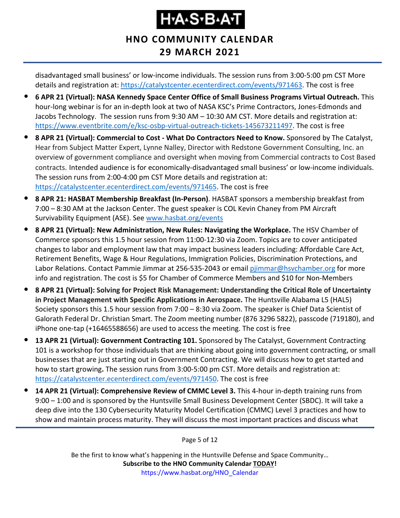### **HNO COMMUNITY CALENDAR 29 MARCH 2021**

disadvantaged small business' or low-income individuals. The session runs from 3:00-5:00 pm CST More details and registration at: [https://catalystcenter.ecenterdirect.com/events/971463.](https://catalystcenter.ecenterdirect.com/events/971463) The cost is free

- **6 APR 21 (Virtual): NASA Kennedy Space Center Office of Small Business Programs Virtual Outreach.** This hour-long webinar is for an in-depth look at two of NASA KSC's Prime Contractors, Jones-Edmonds and Jacobs Technology. The session runs from 9:30 AM – 10:30 AM CST. More details and registration at: [https://www.eventbrite.com/e/ksc-osbp-virtual-outreach-tickets-145673211497.](https://www.eventbrite.com/e/ksc-osbp-virtual-outreach-tickets-145673211497) The cost is free
- **8 APR 21 (Virtual): Commercial to Cost - What Do Contractors Need to Know.** Sponsored by The Catalyst, Hear from Subject Matter Expert, Lynne Nalley, Director with Redstone Government Consulting, Inc. an overview of government compliance and oversight when moving from Commercial contracts to Cost Based contracts. Intended audience is for economically-disadvantaged small business' or low-income individuals. The session runs from 2:00-4:00 pm CST More details and registration at: [https://catalystcenter.ecenterdirect.com/events/971465.](https://catalystcenter.ecenterdirect.com/events/971465) The cost is free
- **8 APR 21: HASBAT Membership Breakfast (In-Person)**. HASBAT sponsors a membership breakfast from 7:00 – 8:30 AM at the Jackson Center. The guest speaker is COL Kevin Chaney from PM Aircraft Survivability Equipment (ASE). See [www.hasbat.org/events](http://www.hasbat.org/events)
- **8 APR 21 (Virtual): New Administration, New Rules: Navigating the Workplace.** The HSV Chamber of Commerce sponsors this 1.5 hour session from 11:00-12:30 via Zoom. Topics are to cover anticipated changes to labor and employment law that may impact business leaders including: Affordable Care Act, Retirement Benefits, Wage & Hour Regulations, Immigration Policies, Discrimination Protections, and Labor Relations. Contact Pammie Jimmar at 256-535-2043 or email [pjimmar@hsvchamber.org](mailto:pjimmar@hsvchamber.org) for more info and registration. The cost is \$5 for Chamber of Commerce Members and \$10 for Non-Members
- **8 APR 21 (Virtual): Solving for Project Risk Management: Understanding the Critical Role of Uncertainty in Project Management with Specific Applications in Aerospace.** The Huntsville Alabama L5 (HAL5) Society sponsors this 1.5 hour session from 7:00 – 8:30 via Zoom. The speaker is Chief Data Scientist of Galorath Federal Dr. Christian Smart. The Zoom meeting number (876 3296 5822), passcode (719180), and iPhone one-tap (+16465588656) are used to access the meeting. The cost is free
- **13 APR 21 (Virtual): Government Contracting 101.** Sponsored by The Catalyst, Government Contracting 101 is a workshop for those individuals that are thinking about going into government contracting, or small businesses that are just starting out in Government Contracting. We will discuss how to get started and how to start growing**.** The session runs from 3:00-5:00 pm CST. More details and registration at: [https://catalystcenter.ecenterdirect.com/events/971450.](https://catalystcenter.ecenterdirect.com/events/971450) The cost is free
- **14 APR 21 (Virtual): Comprehensive Review of CMMC Level 3.** This 4-hour in-depth training runs from 9:00 – 1:00 and is sponsored by the Huntsville Small Business Development Center (SBDC). It will take a deep dive into the 130 Cybersecurity Maturity Model Certification (CMMC) Level 3 practices and how to show and maintain process maturity. They will discuss the most important practices and discuss what

Page 5 of 12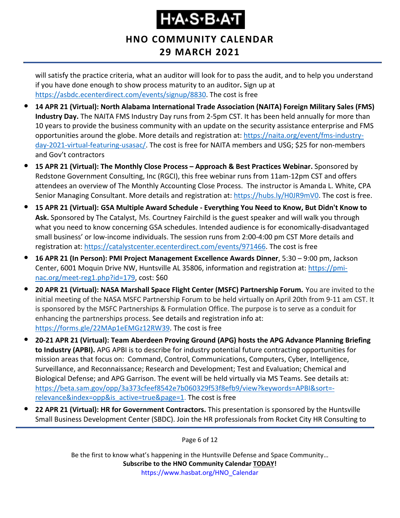### **HNO COMMUNITY CALENDAR 29 MARCH 2021**

will satisfy the practice criteria, what an auditor will look for to pass the audit, and to help you understand if you have done enough to show process maturity to an auditor**.** Sign up at [https://asbdc.ecenterdirect.com/events/signup/8830.](https://asbdc.ecenterdirect.com/events/signup/8830) The cost is free

- **14 APR 21 (Virtual): North Alabama International Trade Association (NAITA) Foreign Military Sales (FMS) Industry Day.** The NAITA FMS Industry Day runs from 2-5pm CST. It has been held annually for more than 10 years to provide the business community with an update on the security assistance enterprise and FMS opportunities around the globe. More details and registration at: [https://naita.org/event/fms-industry](https://naita.org/event/fms-industry-day-2021-virtual-featuring-usasac/)[day-2021-virtual-featuring-usasac/.](https://naita.org/event/fms-industry-day-2021-virtual-featuring-usasac/) The cost is free for NAITA members and USG; \$25 for non-members and Gov't contractors
- **15 APR 21 (Virtual): The Monthly Close Process – Approach & Best Practices Webinar.** Sponsored by Redstone Government Consulting, Inc (RGCI), this free webinar runs from 11am-12pm CST and offers attendees an overview of The Monthly Accounting Close Process. The instructor is Amanda L. White, CPA Senior Managing Consultant. More details and registration at: [https://hubs.ly/H0JR9mV0.](https://hubs.ly/H0JR9mV0) The cost is free.
- **15 APR 21 (Virtual): GSA Multiple Award Schedule - Everything You Need to Know, But Didn't Know to Ask.** Sponsored by The Catalyst, Ms. Courtney Fairchild is the guest speaker and will walk you through what you need to know concerning GSA schedules. Intended audience is for economically-disadvantaged small business' or low-income individuals. The session runs from 2:00-4:00 pm CST More details and registration at: [https://catalystcenter.ecenterdirect.com/events/971466.](https://catalystcenter.ecenterdirect.com/events/971466) The cost is free
- **16 APR 21 (In Person): PMI Project Management Excellence Awards Dinner**, 5:30 9:00 pm, Jackson Center, 6001 Moquin Drive NW, Huntsville AL 35806, information and registration at: [https://pmi](https://pmi-nac.org/meet-reg1.php?id=179)[nac.org/meet-reg1.php?id=179,](https://pmi-nac.org/meet-reg1.php?id=179) cost: \$60
- **20 APR 21 (Virtual): NASA Marshall Space Flight Center (MSFC) Partnership Forum.** You are invited to the initial meeting of the NASA MSFC Partnership Forum to be held virtually on April 20th from 9-11 am CST. It is sponsored by the MSFC Partnerships & Formulation Office. The purpose is to serve as a conduit for enhancing the partnerships process. See details and registration info at: [https://forms.gle/22MAp1eEMGz12RW39.](https://forms.gle/22MAp1eEMGz12RW39) The cost is free
- **20-21 APR 21 (Virtual): Team Aberdeen Proving Ground (APG) hosts the APG Advance Planning Briefing to Industry (APBI).** APG APBI is to describe for industry potential future contracting opportunities for mission areas that focus on: Command, Control, Communications, Computers, Cyber, Intelligence, Surveillance, and Reconnaissance; Research and Development; Test and Evaluation; Chemical and Biological Defense; and APG Garrison. The event will be held virtually via MS Teams. See details at: [https://beta.sam.gov/opp/3a373cfeef8542e7b060329f53f8efb9/view?keywords=APBI&sort=](https://beta.sam.gov/opp/3a373cfeef8542e7b060329f53f8efb9/view?keywords=APBI&sort=-relevance&index=opp&is_active=true&page=1) [relevance&index=opp&is\\_active=true&page=1.](https://beta.sam.gov/opp/3a373cfeef8542e7b060329f53f8efb9/view?keywords=APBI&sort=-relevance&index=opp&is_active=true&page=1) The cost is free
- **22 APR 21 (Virtual): HR for Government Contractors.** This presentation is sponsored by the Huntsville Small Business Development Center (SBDC). Join the HR professionals from Rocket City HR Consulting to

Page 6 of 12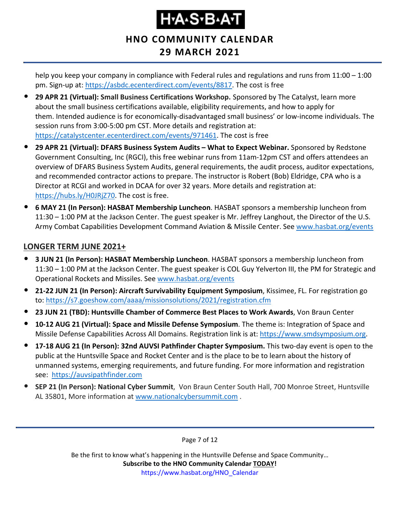### **HNO COMMUNITY CALENDAR 29 MARCH 2021**

help you keep your company in compliance with Federal rules and regulations and runs from 11:00 – 1:00 pm. Sign-up at: [https://asbdc.ecenterdirect.com/events/8817.](https://asbdc.ecenterdirect.com/events/8817) The cost is free

- **29 APR 21 (Virtual): Small Business Certifications Workshop.** Sponsored by The Catalyst, learn more about the small business certifications available, eligibility requirements, and how to apply for them. Intended audience is for economically-disadvantaged small business' or low-income individuals. The session runs from 3:00-5:00 pm CST. More details and registration at: [https://catalystcenter.ecenterdirect.com/events/971461.](https://catalystcenter.ecenterdirect.com/events/971461) The cost is free
- **29 APR 21 (Virtual): DFARS Business System Audits – What to Expect Webinar.** Sponsored by Redstone Government Consulting, Inc (RGCI), this free webinar runs from 11am-12pm CST and offers attendees an overview of DFARS Business System Audits, general requirements, the audit process, auditor expectations, and recommended contractor actions to prepare. The instructor is Robert (Bob) Eldridge, CPA who is a Director at RCGI and worked in DCAA for over 32 years. More details and registration at: [https://hubs.ly/H0JRjZ70.](https://hubs.ly/H0JRjZ70) The cost is free.
- **6 MAY 21 (In Person): HASBAT Membership Luncheon**. HASBAT sponsors a membership luncheon from 11:30 – 1:00 PM at the Jackson Center. The guest speaker is Mr. Jeffrey Langhout, the Director of the U.S. Army Combat Capabilities Development Command Aviation & Missile Center. See [www.hasbat.org/events](http://www.hasbat.org/events)

#### **LONGER TERM JUNE 2021+**

- **3 JUN 21 (In Person): HASBAT Membership Luncheon**. HASBAT sponsors a membership luncheon from 11:30 – 1:00 PM at the Jackson Center. The guest speaker is COL Guy Yelverton III, the PM for Strategic and Operational Rockets and Missiles. See [www.hasbat.org/events](http://www.hasbat.org/events)
- **21-22 JUN 21 (In Person): Aircraft Survivability Equipment Symposium**, Kissimee, FL. For registration go to:<https://s7.goeshow.com/aaaa/missionsolutions/2021/registration.cfm>
- **23 JUN 21 (TBD): Huntsville Chamber of Commerce Best Places to Work Awards**, Von Braun Center
- **10-12 AUG 21 (Virtual): Space and Missile Defense Symposium**. The theme is: Integration of Space and Missile Defense Capabilities Across All Domains. Registration link is at: [https://www.smdsymposium.org.](https://www.smdsymposium.org/)
- **17-18 AUG 21 (In Person): 32nd AUVSI Pathfinder Chapter Symposium.** This two-day event is open to the public at the Huntsville Space and Rocket Center and is the place to be to learn about the history of unmanned systems, emerging requirements, and future funding. For more information and registration see: [https://auvsipathfinder.com](https://auvsipathfinder.com/)
- **SEP 21 (In Person): National Cyber Summit**, Von Braun Center South Hall, 700 Monroe Street, Huntsville AL 35801, More information at [www.nationalcybersummit.com](http://www.nationalcybersummit.com/) .

Page 7 of 12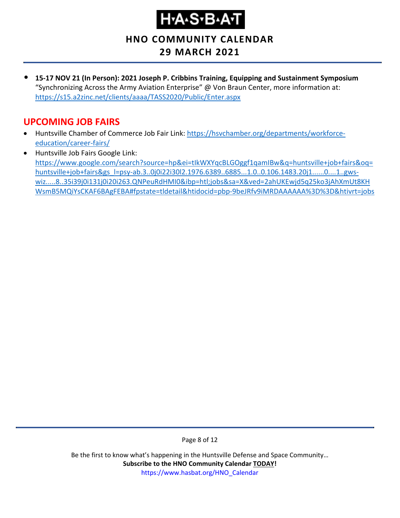# **Н-А-Ѕ-В-А-Т**

**HNO COMMUNITY CALENDAR**

### **29 MARCH 2021**

• **15-17 NOV 21 (In Person): 2021 Joseph P. Cribbins Training, Equipping and Sustainment Symposium** "Synchronizing Across the Army Aviation Enterprise" @ Von Braun Center, more information at: <https://s15.a2zinc.net/clients/aaaa/TASS2020/Public/Enter.aspx>

### <span id="page-7-0"></span>**UPCOMING JOB FAIRS**

- Huntsville Chamber of Commerce Job Fair Link: [https://hsvchamber.org/departments/workforce](https://hsvchamber.org/departments/workforce-education/career-fairs/)[education/career-fairs/](https://hsvchamber.org/departments/workforce-education/career-fairs/)
- Huntsville Job Fairs Google Link: [https://www.google.com/search?source=hp&ei=tIkWXYqcBLGOggf1qamIBw&q=huntsville+job+fairs&oq=](https://www.google.com/search?source=hp&ei=tIkWXYqcBLGOggf1qamIBw&q=huntsville+job+fairs&oq=huntsville+job+fairs&gs_l=psy-ab.3..0j0i22i30l2.1976.6389..6885...1.0..0.106.1483.20j1......0....1..gws-wiz.....8..35i39j0i131j0i20i263.QNPeuRdHMI0&ibp=htl;jobs&sa=X&ved=2ahUKEwjd5q25ko3jAhXmUt8KHWsmB5MQiYsCKAF6BAgFEBA#fpstate=tldetail&htidocid=pbp-9beJRfv9iMRDAAAAAA%3D%3D&htivrt=jobs) [huntsville+job+fairs&gs\\_l=psy-ab.3..0j0i22i30l2.1976.6389..6885...1.0..0.106.1483.20j1......0....1..gws](https://www.google.com/search?source=hp&ei=tIkWXYqcBLGOggf1qamIBw&q=huntsville+job+fairs&oq=huntsville+job+fairs&gs_l=psy-ab.3..0j0i22i30l2.1976.6389..6885...1.0..0.106.1483.20j1......0....1..gws-wiz.....8..35i39j0i131j0i20i263.QNPeuRdHMI0&ibp=htl;jobs&sa=X&ved=2ahUKEwjd5q25ko3jAhXmUt8KHWsmB5MQiYsCKAF6BAgFEBA#fpstate=tldetail&htidocid=pbp-9beJRfv9iMRDAAAAAA%3D%3D&htivrt=jobs)[wiz.....8..35i39j0i131j0i20i263.QNPeuRdHMI0&ibp=htl;jobs&sa=X&ved=2ahUKEwjd5q25ko3jAhXmUt8KH](https://www.google.com/search?source=hp&ei=tIkWXYqcBLGOggf1qamIBw&q=huntsville+job+fairs&oq=huntsville+job+fairs&gs_l=psy-ab.3..0j0i22i30l2.1976.6389..6885...1.0..0.106.1483.20j1......0....1..gws-wiz.....8..35i39j0i131j0i20i263.QNPeuRdHMI0&ibp=htl;jobs&sa=X&ved=2ahUKEwjd5q25ko3jAhXmUt8KHWsmB5MQiYsCKAF6BAgFEBA#fpstate=tldetail&htidocid=pbp-9beJRfv9iMRDAAAAAA%3D%3D&htivrt=jobs) [WsmB5MQiYsCKAF6BAgFEBA#fpstate=tldetail&htidocid=pbp-9beJRfv9iMRDAAAAAA%3D%3D&htivrt=jobs](https://www.google.com/search?source=hp&ei=tIkWXYqcBLGOggf1qamIBw&q=huntsville+job+fairs&oq=huntsville+job+fairs&gs_l=psy-ab.3..0j0i22i30l2.1976.6389..6885...1.0..0.106.1483.20j1......0....1..gws-wiz.....8..35i39j0i131j0i20i263.QNPeuRdHMI0&ibp=htl;jobs&sa=X&ved=2ahUKEwjd5q25ko3jAhXmUt8KHWsmB5MQiYsCKAF6BAgFEBA#fpstate=tldetail&htidocid=pbp-9beJRfv9iMRDAAAAAA%3D%3D&htivrt=jobs)

Page 8 of 12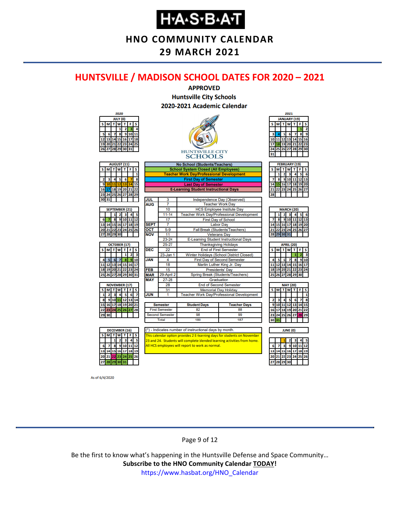**HNO COMMUNITY CALENDAR**

**29 MARCH 2021**

#### <span id="page-8-0"></span>**HUNTSVILLE / MADISON SCHOOL DATES FOR 2020 – 2021**



As of 6/4/2020

#### Page 9 of 12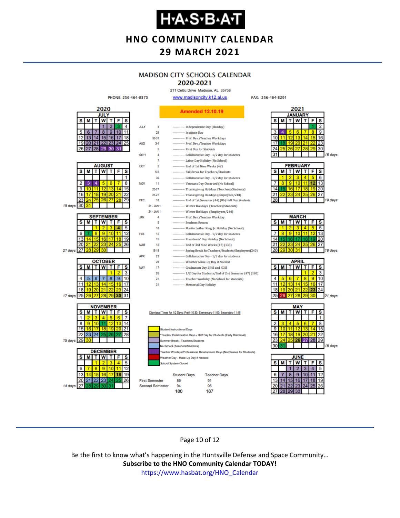**HNO COMMUNITY CALENDAR 29 MARCH 2021**

### **MADISON CITY SCHOOLS CALENDAR**

#### 2020-2021

211 Celtic Drive Madison, AL 35758 www.madisoncity.k12.al.us





#### Page 10 of 12

187

 $30^{\circ}$ 

180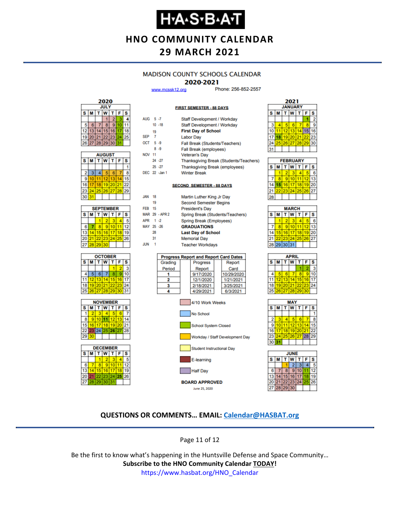# **Н-А-S-В-А-Т**

**HNO COMMUNITY CALENDAR 29 MARCH 2021**

#### **MADISON COUNTY SCHOOLS CALENDAR**

#### 2020-2021

**FIRST SEMESTER - 88 DAYS** 

www.mcssk12.org

Phone: 256-852-2557



| <b>AUGUST</b> |                       |    |             |       |    |    |  |
|---------------|-----------------------|----|-------------|-------|----|----|--|
| s             | T W<br>$\vec{T}$<br>м |    |             |       | F  | S  |  |
|               |                       |    |             |       |    |    |  |
| 2             | 3                     | 4  | 5           | 6     |    | 8  |  |
| 9             | 10                    | 11 | 12          | 13    |    | 15 |  |
| 16            | 17                    | 18 |             | 19 20 | 21 | 22 |  |
| 23            |                       |    | 24 25 26 27 |       | 28 | 29 |  |
| 30            | 31                    |    |             |       |    |    |  |

| <b>SEPTEMBER</b> |                           |                 |          |    |    |    |  |  |
|------------------|---------------------------|-----------------|----------|----|----|----|--|--|
| s                | т<br><b>T</b> W<br>F<br>М |                 |          |    |    | s  |  |  |
|                  |                           |                 | 2        | з  |    |    |  |  |
| 6                |                           | 8               | 9        | 10 |    | 12 |  |  |
| 13               | 14                        |                 | 15 16    | 17 | 18 | 19 |  |  |
| 20               | 21                        |                 | 22 23 24 |    | 25 | 26 |  |  |
| 27               | 128.                      | 29 <sup>1</sup> | 30       |    |    |    |  |  |







| AUG 5-7        |    |                | Staff Development / Workday      |                                              |  |                                        |  |  |  |
|----------------|----|----------------|----------------------------------|----------------------------------------------|--|----------------------------------------|--|--|--|
|                |    | $10 - 18$      | Staff Development / Workday      |                                              |  |                                        |  |  |  |
|                | 19 |                | <b>First Day of School</b>       |                                              |  |                                        |  |  |  |
| SEP            | -7 |                | <b>Labor Day</b>                 |                                              |  |                                        |  |  |  |
| OCT 5-9        |    |                | Fall Break (Students/Teachers)   |                                              |  |                                        |  |  |  |
|                |    | $8 - 9$        | Fall Break (employees)           |                                              |  |                                        |  |  |  |
| <b>NOV 11</b>  |    |                |                                  | <b>Veteran's Day</b>                         |  |                                        |  |  |  |
|                |    | $24 - 27$      |                                  |                                              |  | Thanksgiving Break (Students/Teachers) |  |  |  |
|                |    | $25 - 27$      |                                  | <b>Thanksgiving Break (employees)</b>        |  |                                        |  |  |  |
|                |    | DEC 22 -Jan 1  |                                  | <b>Winter Break</b>                          |  |                                        |  |  |  |
|                |    |                |                                  | <b>SECOND SEMESTER - 88 DAYS</b>             |  |                                        |  |  |  |
|                |    |                |                                  |                                              |  |                                        |  |  |  |
| <b>JAN</b>     | 18 |                |                                  | Martin Luther King Jr Day                    |  |                                        |  |  |  |
|                | 19 |                | <b>Second Semester Begins</b>    |                                              |  |                                        |  |  |  |
| <b>FFR 15</b>  |    |                | <b>President's Day</b>           |                                              |  |                                        |  |  |  |
|                |    | MAR 29 - APR 2 | Spring Break (Students/Teachers) |                                              |  |                                        |  |  |  |
| APR 1-2        |    |                | Spring Break (Employees)         |                                              |  |                                        |  |  |  |
| MAY 25 -26     |    |                |                                  | <b>GRADUATIONS</b>                           |  |                                        |  |  |  |
|                | 28 |                |                                  | <b>Last Day of School</b>                    |  |                                        |  |  |  |
|                | 31 |                |                                  | <b>Memorial Day</b>                          |  |                                        |  |  |  |
| JUN.           | 1  |                |                                  | <b>Teacher Workdays</b>                      |  |                                        |  |  |  |
|                |    |                |                                  |                                              |  |                                        |  |  |  |
|                |    |                |                                  | <b>Progress Report and Report Card Dates</b> |  |                                        |  |  |  |
|                |    | Grading        |                                  | Progress                                     |  | Report                                 |  |  |  |
|                |    | Period         |                                  | Report                                       |  | Card                                   |  |  |  |
|                |    | 1              |                                  | 9/17/2020                                    |  | 10/29/2020                             |  |  |  |
|                |    | 2              |                                  | 12/1/2020                                    |  | 1/21/2021                              |  |  |  |
|                |    | 3              | 2/18/2021<br>3/25/2021           |                                              |  |                                        |  |  |  |
| 4<br>4/29/2021 |    |                |                                  |                                              |  | 6/3/2021                               |  |  |  |





| <b>FEBRUARY</b> |   |    |          |    |       |    |  |  |
|-----------------|---|----|----------|----|-------|----|--|--|
| s               | М | т  | w        |    | F     | S  |  |  |
|                 |   | 2  | 3        |    |       | ĥ  |  |  |
|                 | R | 9  | 10       |    | 12    | 13 |  |  |
|                 |   | 16 | 17       | 18 | 19    | 20 |  |  |
|                 |   |    | 23 24 25 |    | 26 27 |    |  |  |
|                 |   |    |          |    |       |    |  |  |

| <b>MARCH</b> |                 |                 |                 |         |       |    |  |  |  |
|--------------|-----------------|-----------------|-----------------|---------|-------|----|--|--|--|
| S            | М               |                 | <b>T</b> W      | $T$ $F$ |       | S  |  |  |  |
|              |                 | 2               |                 |         |       | 6  |  |  |  |
|              | 8               | 9               | 10              |         | 12    | 13 |  |  |  |
| 14           | 15 <sub>1</sub> | 16 <sup>1</sup> | 17 <sup>1</sup> | 18      | 19    | 20 |  |  |  |
| 21           | 22              |                 | 23 24 25        |         | 26 27 |    |  |  |  |
|              |                 |                 | 28 29 30 31     |         |       |    |  |  |  |
|              |                 |                 |                 |         |       |    |  |  |  |

| APRIL |          |                |   |    |    |    |  |  |
|-------|----------|----------------|---|----|----|----|--|--|
| s     | M<br>т   |                | W | т  | F  | s  |  |  |
|       |          |                |   |    |    | 3  |  |  |
|       |          | 6              |   | 8  | 9  | 10 |  |  |
| 11    |          | 12 13 14       |   | 15 | 16 | 17 |  |  |
| 18    |          | 19 20 21 22 23 |   |    |    | 24 |  |  |
| 25    | 26 27 28 |                |   | 29 | 30 |    |  |  |
|       |          |                |   |    |    |    |  |  |





#### **QUESTIONS OR COMMENTS… EMAIL: [Calendar@HASBAT.org](mailto:calendar@hasbat.org)**

Page 11 of 12